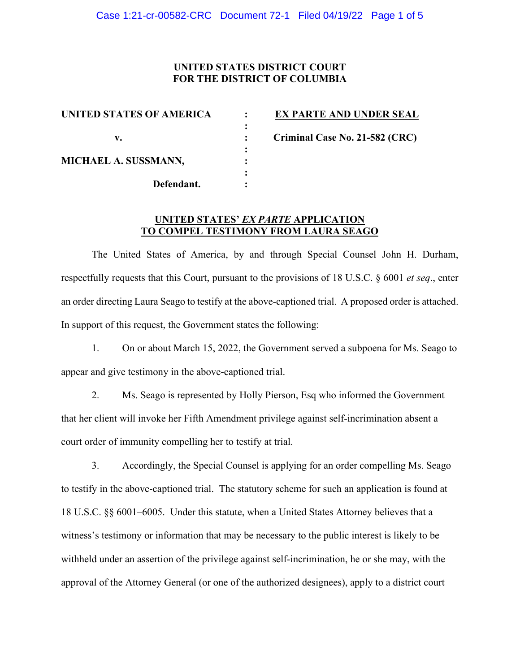### **UNITED STATES DISTRICT COURT FOR THE DISTRICT OF COLUMBIA**

| UNITED STATES OF AMERICA |  |
|--------------------------|--|
|                          |  |
| v.                       |  |
|                          |  |
| MICHAEL A. SUSSMANN,     |  |
|                          |  |
| Defendant.               |  |
|                          |  |

**EX PARTE AND UNDER SEAL** 

 **v. : Criminal Case No. 21-582 (CRC)** 

## **UNITED STATES'** *EX PARTE* **APPLICATION TO COMPEL TESTIMONY FROM LAURA SEAGO**

The United States of America, by and through Special Counsel John H. Durham, respectfully requests that this Court, pursuant to the provisions of 18 U.S.C. § 6001 *et seq*., enter an order directing Laura Seago to testify at the above-captioned trial. A proposed order is attached. In support of this request, the Government states the following:

1. On or about March 15, 2022, the Government served a subpoena for Ms. Seago to appear and give testimony in the above-captioned trial.

2. Ms. Seago is represented by Holly Pierson, Esq who informed the Government that her client will invoke her Fifth Amendment privilege against self-incrimination absent a court order of immunity compelling her to testify at trial.

3. Accordingly, the Special Counsel is applying for an order compelling Ms. Seago to testify in the above-captioned trial. The statutory scheme for such an application is found at 18 U.S.C. §§ 6001–6005. Under this statute, when a United States Attorney believes that a witness's testimony or information that may be necessary to the public interest is likely to be withheld under an assertion of the privilege against self-incrimination, he or she may, with the approval of the Attorney General (or one of the authorized designees), apply to a district court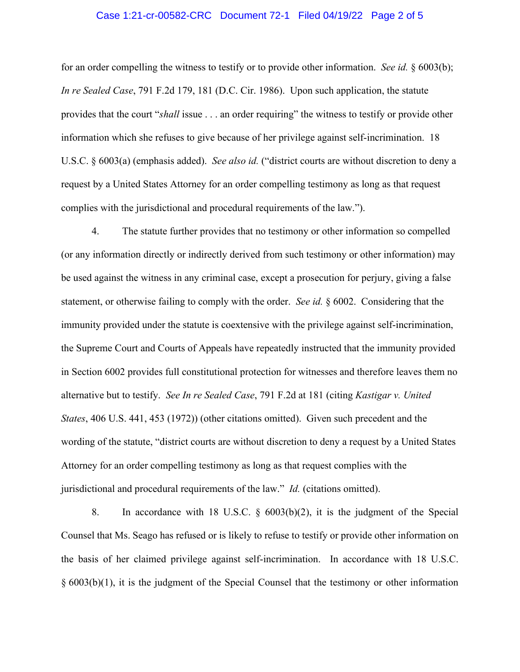#### Case 1:21-cr-00582-CRC Document 72-1 Filed 04/19/22 Page 2 of 5

for an order compelling the witness to testify or to provide other information. *See id.* § 6003(b); *In re Sealed Case*, 791 F.2d 179, 181 (D.C. Cir. 1986). Upon such application, the statute provides that the court "*shall* issue . . . an order requiring" the witness to testify or provide other information which she refuses to give because of her privilege against self-incrimination. 18 U.S.C. § 6003(a) (emphasis added). *See also id.* ("district courts are without discretion to deny a request by a United States Attorney for an order compelling testimony as long as that request complies with the jurisdictional and procedural requirements of the law.").

4. The statute further provides that no testimony or other information so compelled (or any information directly or indirectly derived from such testimony or other information) may be used against the witness in any criminal case, except a prosecution for perjury, giving a false statement, or otherwise failing to comply with the order. *See id.* § 6002. Considering that the immunity provided under the statute is coextensive with the privilege against self-incrimination, the Supreme Court and Courts of Appeals have repeatedly instructed that the immunity provided in Section 6002 provides full constitutional protection for witnesses and therefore leaves them no alternative but to testify. *See In re Sealed Case*, 791 F.2d at 181 (citing *Kastigar v. United States*, 406 U.S. 441, 453 (1972)) (other citations omitted). Given such precedent and the wording of the statute, "district courts are without discretion to deny a request by a United States Attorney for an order compelling testimony as long as that request complies with the jurisdictional and procedural requirements of the law." *Id.* (citations omitted).

8. In accordance with 18 U.S.C. § 6003(b)(2), it is the judgment of the Special Counsel that Ms. Seago has refused or is likely to refuse to testify or provide other information on the basis of her claimed privilege against self-incrimination. In accordance with 18 U.S.C. § 6003(b)(1), it is the judgment of the Special Counsel that the testimony or other information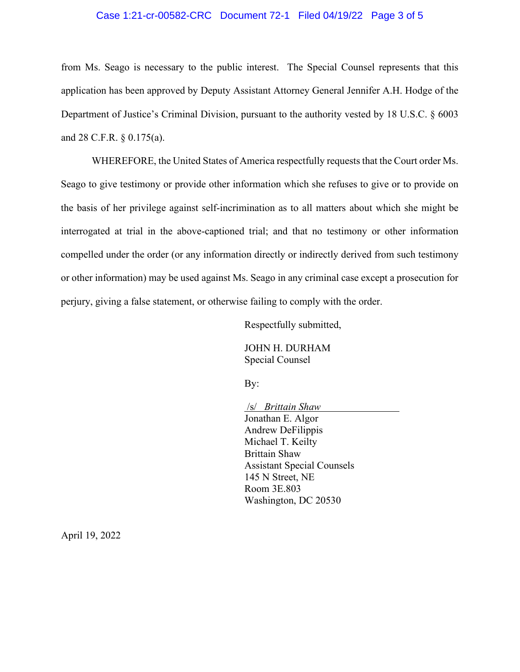### Case 1:21-cr-00582-CRC Document 72-1 Filed 04/19/22 Page 3 of 5

from Ms. Seago is necessary to the public interest. The Special Counsel represents that this application has been approved by Deputy Assistant Attorney General Jennifer A.H. Hodge of the Department of Justice's Criminal Division, pursuant to the authority vested by 18 U.S.C. § 6003 and 28 C.F.R. § 0.175(a).

WHEREFORE, the United States of America respectfully requests that the Court order Ms. Seago to give testimony or provide other information which she refuses to give or to provide on the basis of her privilege against self-incrimination as to all matters about which she might be interrogated at trial in the above-captioned trial; and that no testimony or other information compelled under the order (or any information directly or indirectly derived from such testimony or other information) may be used against Ms. Seago in any criminal case except a prosecution for perjury, giving a false statement, or otherwise failing to comply with the order.

Respectfully submitted,

JOHN H. DURHAM Special Counsel

By:

 /s/ *Brittain Shaw* Jonathan E. Algor Andrew DeFilippis Michael T. Keilty Brittain Shaw Assistant Special Counsels 145 N Street, NE Room 3E.803 Washington, DC 20530

April 19, 2022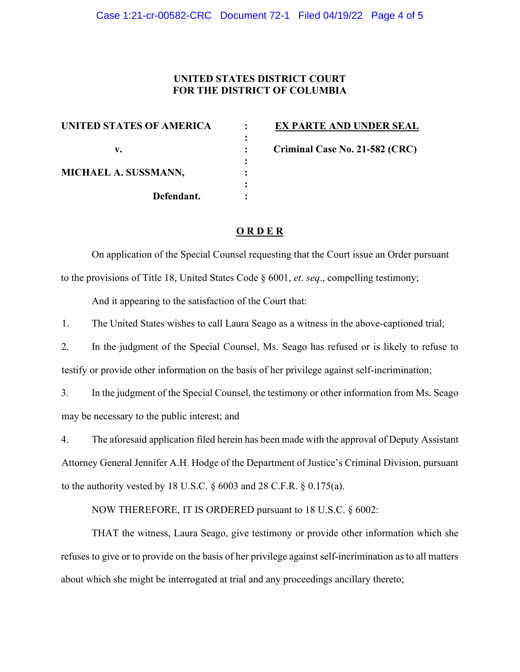## **UNITED STATES DISTRICT COURT FOR THE DISTRICT OF COLUMBIA**

| <b>UNITED STATES OF AMERICA</b> |  |
|---------------------------------|--|
|                                 |  |
| v.                              |  |
|                                 |  |
| MICHAEL A. SUSSMANN,            |  |
|                                 |  |
| Defendant.                      |  |
|                                 |  |

**EX PARTE AND UNDER SEAL** 

**Criminal Case No. 21-582 (CRC)** 

# **O R D E R**

On application of the Special Counsel requesting that the Court issue an Order pursuant to the provisions of Title 18, United States Code § 6001, *et*. *seq*., compelling testimony; And it appearing to the satisfaction of the Court that:

1. The United States wishes to call Laura Seago as a witness in the above-captioned trial;

2. In the judgment of the Special Counsel, Ms. Seago has refused or is likely to refuse to testify or provide other information on the basis of her privilege against self-incrimination;

3. In the judgment of the Special Counsel, the testimony or other information from Ms. Seago may be necessary to the public interest; and

4. The aforesaid application filed herein has been made with the approval of Deputy Assistant Attorney General Jennifer A.H. Hodge of the Department of Justice's Criminal Division, pursuant to the authority vested by 18 U.S.C. § 6003 and 28 C.F.R. § 0.175(a).

NOW THEREFORE, IT IS ORDERED pursuant to 18 U.S.C. § 6002:

THAT the witness, Laura Seago, give testimony or provide other information which she refuses to give or to provide on the basis of her privilege against self-incrimination as to all matters about which she might be interrogated at trial and any proceedings ancillary thereto;